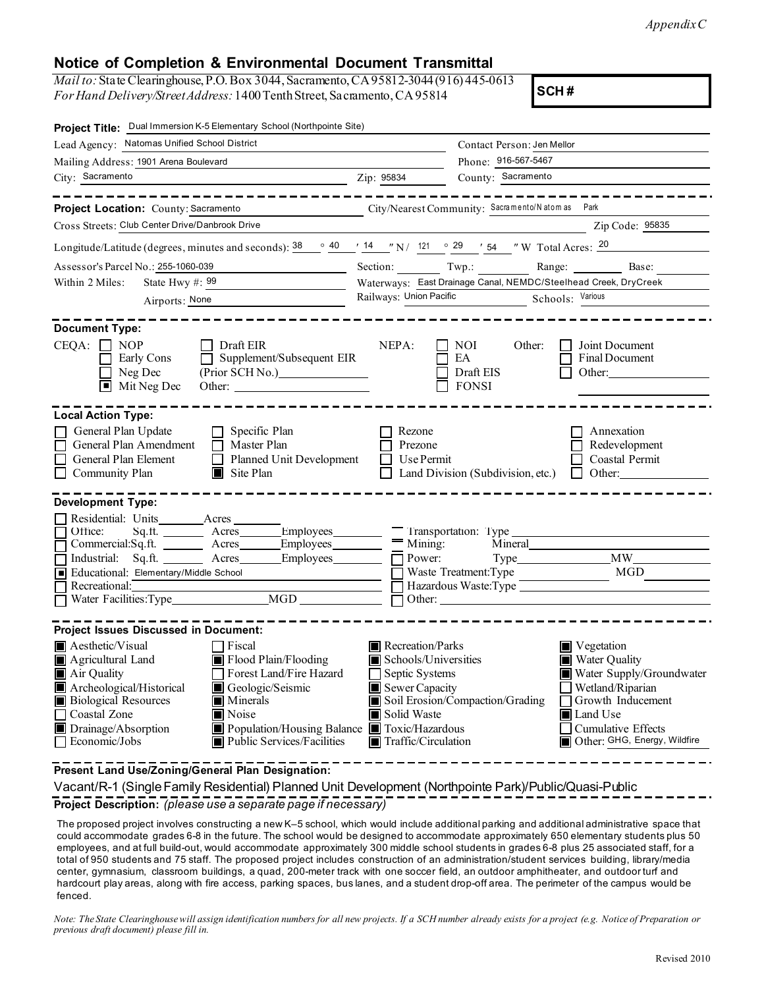*Appendix C* 

## **Notice of Completion & Environmental Document Transmittal**

*Mail to:* State Clearinghouse, P.O. Box 3044, Sacramento, CA 95812-3044(916) 445-0613 *For Hand Delivery/StreetAddress:* 1400TenthStreet, Sacramento,CA95814

**SCH #** 

| Project Title: Dual Immersion K-5 Elementary School (Northpointe Site)                                                                                                                                                                                                                                                                        |                                                                                                                                                                                 |                                                                                           |                                                                                                                                                                                            |  |
|-----------------------------------------------------------------------------------------------------------------------------------------------------------------------------------------------------------------------------------------------------------------------------------------------------------------------------------------------|---------------------------------------------------------------------------------------------------------------------------------------------------------------------------------|-------------------------------------------------------------------------------------------|--------------------------------------------------------------------------------------------------------------------------------------------------------------------------------------------|--|
| Lead Agency: Natomas Unified School District                                                                                                                                                                                                                                                                                                  |                                                                                                                                                                                 | Contact Person: Jen Mellor                                                                |                                                                                                                                                                                            |  |
| Mailing Address: 1901 Arena Boulevard                                                                                                                                                                                                                                                                                                         |                                                                                                                                                                                 | Phone: 916-567-5467                                                                       |                                                                                                                                                                                            |  |
| City: Sacramento<br><u> 1989 - Johann Barbara, martin amerikan basar dan berasal dalam basar dalam basar dalam basar dalam basar dala</u>                                                                                                                                                                                                     | Zip: 95834                                                                                                                                                                      | County: Sacramento                                                                        |                                                                                                                                                                                            |  |
| ____________________                                                                                                                                                                                                                                                                                                                          |                                                                                                                                                                                 |                                                                                           | ----------------                                                                                                                                                                           |  |
| Project Location: County: Sacramento                                                                                                                                                                                                                                                                                                          | City/Nearest Community: Sacramento/Natom as Park                                                                                                                                |                                                                                           |                                                                                                                                                                                            |  |
| Cross Streets: Club Center Drive/Danbrook Drive                                                                                                                                                                                                                                                                                               |                                                                                                                                                                                 |                                                                                           | Zip Code: 95835                                                                                                                                                                            |  |
| Longitude/Latitude (degrees, minutes and seconds): $\frac{38}{9}$ $\frac{40}{14}$ $\frac{14}{12}$ $\frac{14}{121}$ $\frac{121}{9}$ $\frac{29}{154}$ $\frac{1}{121}$ $\frac{1}{121}$ $\frac{1}{121}$ $\frac{1}{121}$ $\frac{1}{121}$ $\frac{1}{121}$ $\frac{1}{121}$ $\frac{1}{121}$                                                           |                                                                                                                                                                                 |                                                                                           |                                                                                                                                                                                            |  |
| Assessor's Parcel No.: 255-1060-039<br><u> 1989 - Johann Barn, fransk politik (d. 1989)</u>                                                                                                                                                                                                                                                   |                                                                                                                                                                                 |                                                                                           | Section: Twp.: Range: Base: Base:                                                                                                                                                          |  |
| Within 2 Miles:<br>State Hwy $\#$ : 99                                                                                                                                                                                                                                                                                                        |                                                                                                                                                                                 | Waterways: East Drainage Canal, NEMDC/Steelhead Creek, DryCreek                           |                                                                                                                                                                                            |  |
| Airports: None                                                                                                                                                                                                                                                                                                                                |                                                                                                                                                                                 | Railways: Union Pacific<br>Schools: Various                                               |                                                                                                                                                                                            |  |
| <b>Document Type:</b><br>$CEQA: \Box NP$<br>Draft EIR<br>Supplement/Subsequent EIR<br>Early Cons<br>(Prior SCH No.)<br>Neg Dec<br>$\blacksquare$ Mit Neg Dec<br>Other:                                                                                                                                                                        | NEPA:                                                                                                                                                                           | NOI.<br>Other:<br>EA<br>Draft EIS<br><b>FONSI</b>                                         | Joint Document<br>Final Document<br>Other:                                                                                                                                                 |  |
| <b>Local Action Type:</b><br>General Plan Update<br>$\Box$ Specific Plan<br>General Plan Amendment<br>$\Box$ Master Plan<br>General Plan Element<br>Planned Unit Development<br>Community Plan<br>$\blacksquare$ Site Plan                                                                                                                    | Rezone<br>Prezone<br>Use Permit                                                                                                                                                 | Land Division (Subdivision, etc.)                                                         | Annexation<br>Redevelopment<br>Coastal Permit<br>Other:<br>$\perp$                                                                                                                         |  |
| <b>Development Type:</b>                                                                                                                                                                                                                                                                                                                      |                                                                                                                                                                                 |                                                                                           |                                                                                                                                                                                            |  |
| Residential: Units________Acres__<br>Office:<br>Commercial:Sq.ft. Acres<br>Industrial: Sq.ft. Acres<br>Educational: Elementary/Middle School<br>Recretional:<br><u> Tanzania (h. 1878).</u><br>Divisió de la califactura (h. 1879).                                                                                                           | $=$ Mining:<br>Employees<br>$\Box$ Power:<br>Employees                                                                                                                          | Iransportation: lype<br>Mineral<br>Waste Treatment:Type<br>Hazardous Waste:Type<br>Other: | MW<br>MGD                                                                                                                                                                                  |  |
| <b>Project Issues Discussed in Document:</b>                                                                                                                                                                                                                                                                                                  |                                                                                                                                                                                 |                                                                                           |                                                                                                                                                                                            |  |
| $\blacksquare$ Aesthetic/Visual<br>□ Fiscal<br>Agricultural Land<br>$\blacksquare$ Flood Plain/Flooding<br>Air Quality<br>Forest Land/Fire Hazard<br>Archeological/Historical<br>Geologic/Seismic<br><b>Biological Resources</b><br>Minerals<br>Coastal Zone<br>■ Noise<br>Drainage/Absorption<br>Economic/Jobs<br>Public Services/Facilities | Recreation/Parks<br>Schools/Universities<br>Septic Systems<br>Sewer Capacity<br>Solid Waste<br>Population/Housing Balance Toxic/Hazardous<br>$\blacksquare$ Traffic/Circulation | Soil Erosion/Compaction/Grading                                                           | $\blacksquare$ Vegetation<br>Water Quality<br>Water Supply/Groundwater<br>Wetland/Riparian<br>Growth Inducement<br><b>■</b> Land Use<br>Cumulative Effects<br>Other: GHG, Energy, Wildfire |  |
| Present Land Use/Zoning/General Plan Designation:                                                                                                                                                                                                                                                                                             |                                                                                                                                                                                 |                                                                                           |                                                                                                                                                                                            |  |

Vacant/R-1 (SingleFamily Residential) Planned Unit Development (Northpointe Park)/Public/Quasi-Public **Project Description:** *(please use a separate page if necessary)* 

The proposed project involves constructing a new K–5 school, which would include additional parking and additional administrative space that could accommodate grades 6-8 in the future. The school would be designed to accommodate approximately 650 elementary students plus 50 employees, and at full build-out, would accommodate approximately 300 middle school students in grades 6-8 plus 25 associated staff, for a total of 950 students and 75 staff. The proposed project includes construction of an administration/student services building, library/media center, gymnasium, classroom buildings, a quad, 200-meter track with one soccer field, an outdoor amphitheater, and outdoor turf and hardcourt play areas, along with fire access, parking spaces, bus lanes, and a student drop-off area. The perimeter of the campus would be fenced.

*Note: The State Clearinghouse will assign identification numbers for all new projects. If a SCH number already exists for a project (e.g. Notice of Preparation or previous draft document) please fill in.*